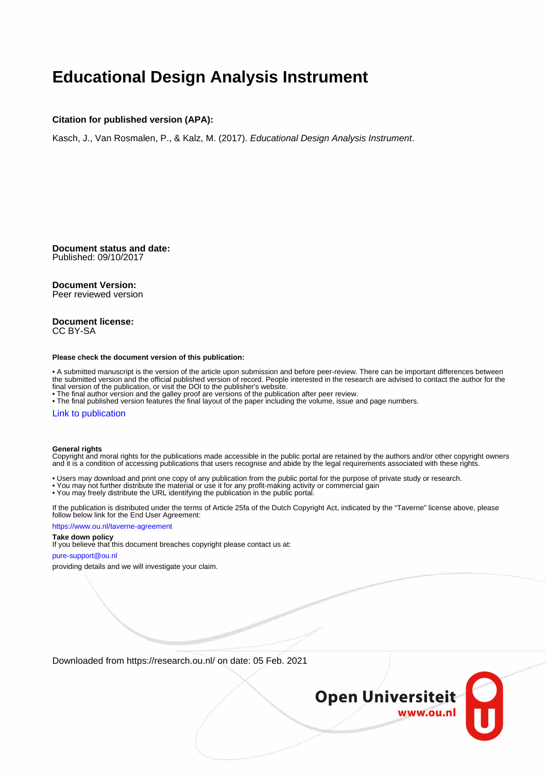### **Educational Design Analysis Instrument**

#### **Citation for published version (APA):**

Kasch, J., Van Rosmalen, P., & Kalz, M. (2017). Educational Design Analysis Instrument.

**Document status and date:** Published: 09/10/2017

#### **Document Version:**

Peer reviewed version

#### **Document license:** CC BY-SA

#### **Please check the document version of this publication:**

• A submitted manuscript is the version of the article upon submission and before peer-review. There can be important differences between the submitted version and the official published version of record. People interested in the research are advised to contact the author for the final version of the publication, or visit the DOI to the publisher's website.

• The final author version and the galley proof are versions of the publication after peer review.

• The final published version features the final layout of the paper including the volume, issue and page numbers.

#### [Link to publication](https://research.ou.nl/en/publications/1856cbb1-8cf0-4313-9cf1-0feede7ade87)

#### **General rights**

Copyright and moral rights for the publications made accessible in the public portal are retained by the authors and/or other copyright owners and it is a condition of accessing publications that users recognise and abide by the legal requirements associated with these rights.

- Users may download and print one copy of any publication from the public portal for the purpose of private study or research.
- You may not further distribute the material or use it for any profit-making activity or commercial gain
- You may freely distribute the URL identifying the publication in the public portal.

If the publication is distributed under the terms of Article 25fa of the Dutch Copyright Act, indicated by the "Taverne" license above, please follow below link for the End User Agreement:

#### https://www.ou.nl/taverne-agreement

### **Take down policy**

If you believe that this document breaches copyright please contact us at:

#### pure-support@ou.nl

providing details and we will investigate your claim.

Downloaded from https://research.ou.nl/ on date: 05 Feb. 2021

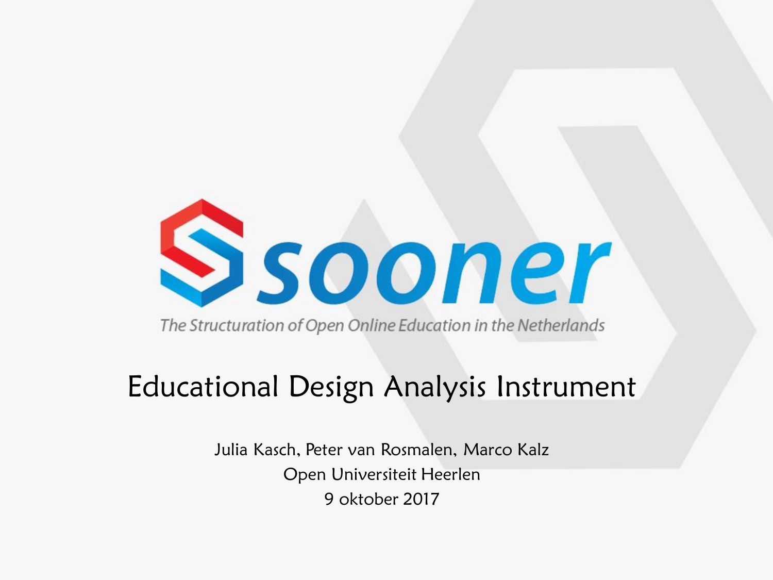

The Structuration of Open Online Education in the Netherlands

### Educational Design Analysis Instrument

Julia Kasch, Peter van Rosmalen, Marco Kalz Open Universiteit Heerlen 9 oktober 2017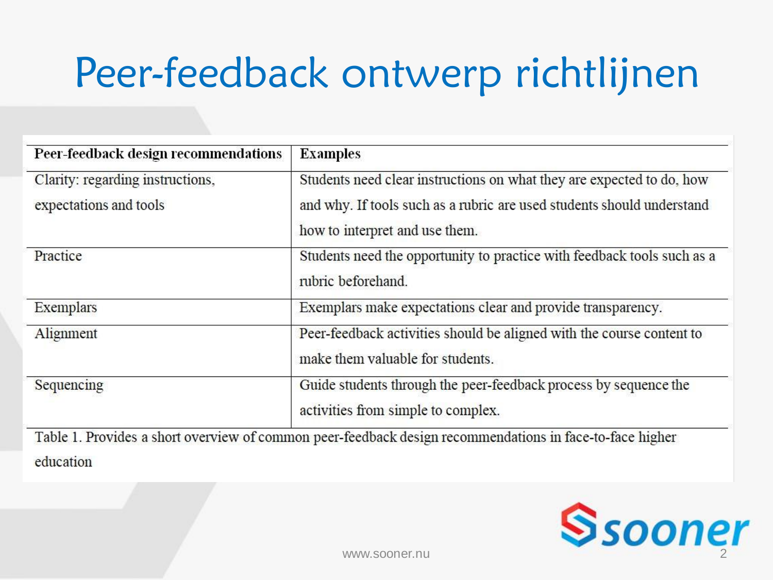### Peer-feedback ontwerp richtlijnen

| Peer-feedback design recommendations | <b>Examples</b>                                                                                           |
|--------------------------------------|-----------------------------------------------------------------------------------------------------------|
| Clarity: regarding instructions,     | Students need clear instructions on what they are expected to do, how                                     |
| expectations and tools               | and why. If tools such as a rubric are used students should understand                                    |
|                                      | how to interpret and use them.                                                                            |
| Practice                             | Students need the opportunity to practice with feedback tools such as a<br>rubric beforehand.             |
| Exemplars                            | Exemplars make expectations clear and provide transparency.                                               |
| Alignment                            | Peer-feedback activities should be aligned with the course content to<br>make them valuable for students. |
| Sequencing                           | Guide students through the peer-feedback process by sequence the<br>activities from simple to complex.    |
|                                      | Table 1. Provides a short overview of common peer-feedback design recommendations in face-to-face higher  |



education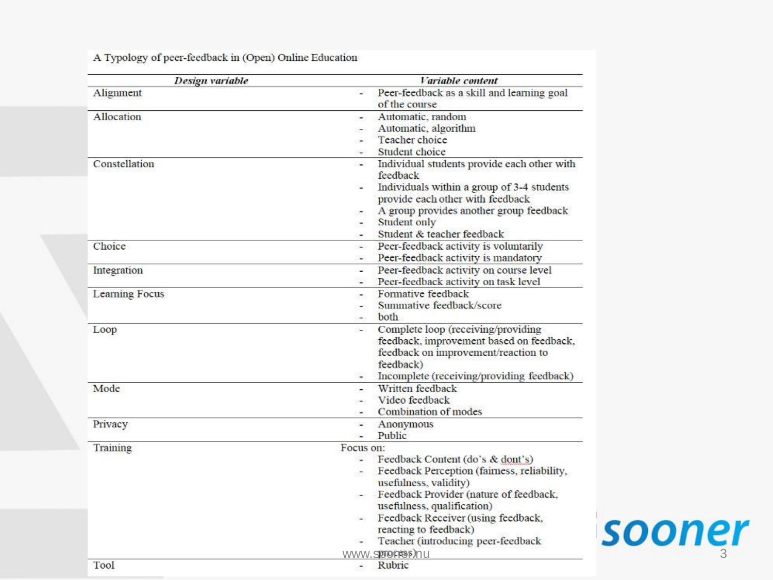| Design variable | Variable content                                                                                                                                                                                                                                                                                                        |        |
|-----------------|-------------------------------------------------------------------------------------------------------------------------------------------------------------------------------------------------------------------------------------------------------------------------------------------------------------------------|--------|
| Alignment       | Peer-feedback as a skill and learning goal<br>of the course                                                                                                                                                                                                                                                             |        |
| Allocation      | Automatic, random<br>Automatic, algorithm<br>Teacher choice<br>Student choice<br>$\sim$                                                                                                                                                                                                                                 |        |
| Constellation   | Individual students provide each other with<br>$-1$<br>feedback<br>Individuals within a group of 3-4 students<br>provide each other with feedback<br>A group provides another group feedback<br>Student only<br>Student & teacher feedback<br>ЖÖ                                                                        |        |
| Choice          | Peer-feedback activity is voluntarily<br>$\sim$<br>Peer-feedback activity is mandatory<br>$\sim$                                                                                                                                                                                                                        |        |
| Integration     | Peer-feedback activity on course level<br>$\omega$<br>Peer-feedback activity on task level                                                                                                                                                                                                                              |        |
| Learning Focus  | Formative feedback<br>×.<br>Summative feedback/score<br><b>both</b>                                                                                                                                                                                                                                                     |        |
| Loop            | Complete loop (receiving/providing<br>feedback, improvement based on feedback,<br>feedback on improvement/reaction to<br>feedback)<br>Incomplete (receiving/providing feedback)                                                                                                                                         |        |
| Mode            | Written feedback<br>Video feedback<br>Combination of modes                                                                                                                                                                                                                                                              |        |
| Privacy         | Anonymous<br>$\omega$<br>Public<br>$\sim$                                                                                                                                                                                                                                                                               |        |
| Training        | Focus on:<br>Feedback Content (do's & dont's)<br>Feedback Perception (fairness, reliability,<br>usefulness, validity)<br>Feedback Provider (nature of feedback,<br>usefulness, qualification)<br>Feedback Receiver (using feedback,<br>reacting to feedback)<br>Teacher (introducing peer-feedback<br>WWW.SIOTOFRSP.)nu | sooner |
| Tool            | $D$ uhric                                                                                                                                                                                                                                                                                                               |        |

A Typology of peer-feedback in (Open) Online Education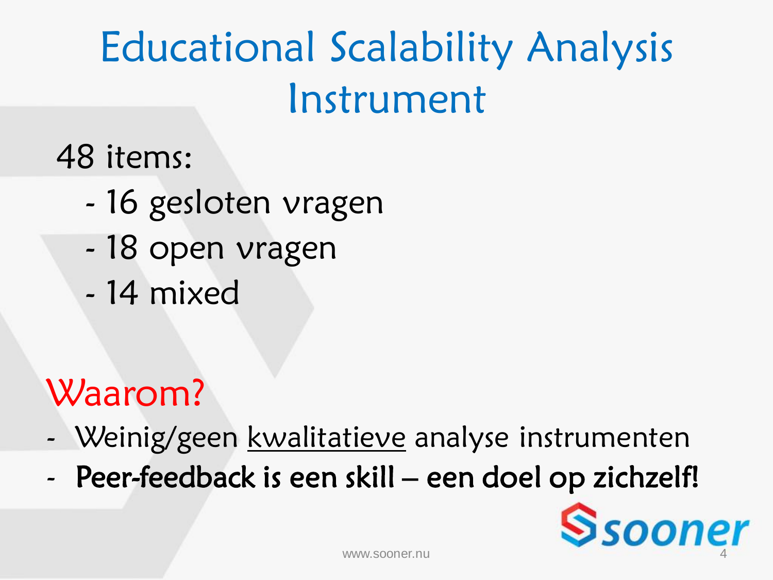# Educational Scalability Analysis Instrument

48 items:

- 16 gesloten vragen
- 18 open vragen
- 14 mixed

### Waarom?

- Weinig/geen kwalitatieve analyse instrumenten
- Peer-feedback is een skill een doel op zichzelf!

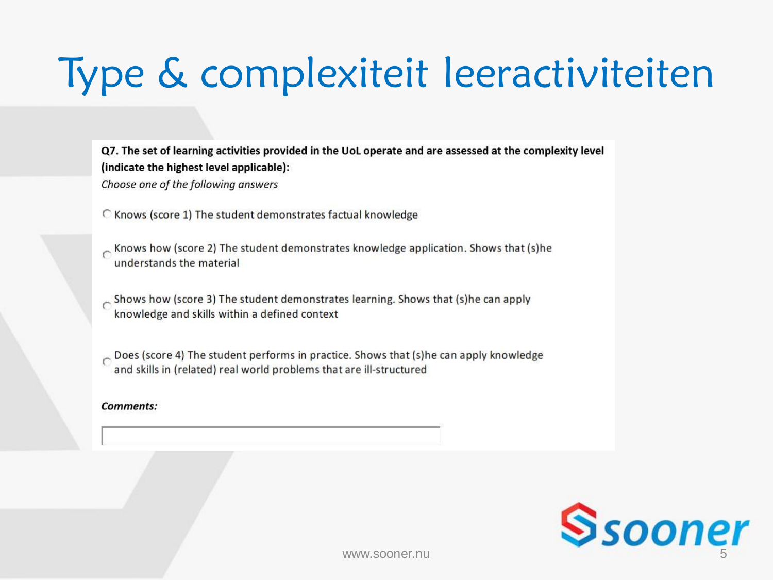## Type & complexiteit leeractiviteiten

Q7. The set of learning activities provided in the UoL operate and are assessed at the complexity level (indicate the highest level applicable): Choose one of the following answers

C Knows (score 1) The student demonstrates factual knowledge

Knows how (score 2) The student demonstrates knowledge application. Shows that (s)he understands the material

Shows how (score 3) The student demonstrates learning. Shows that (s)he can apply knowledge and skills within a defined context

Does (score 4) The student performs in practice. Shows that (s)he can apply knowledge and skills in (related) real world problems that are ill-structured

**Comments:** 

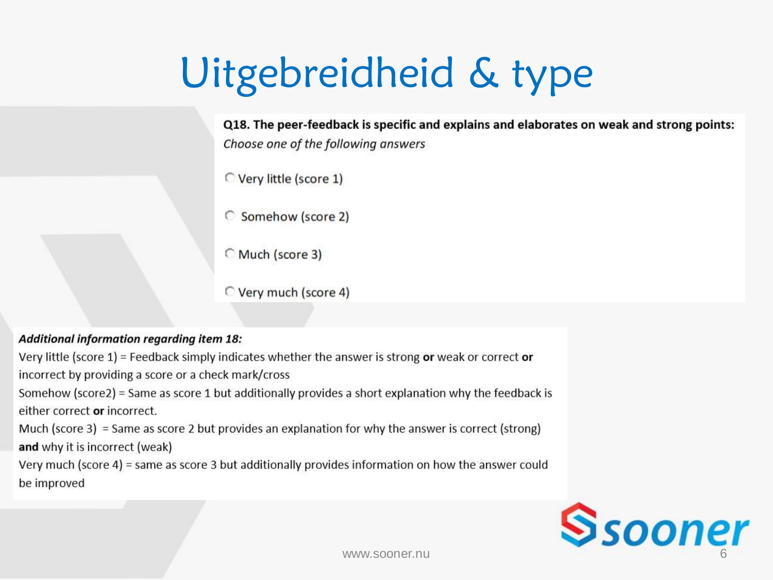## Uitgebreidheid & type

Q18. The peer-feedback is specific and explains and elaborates on weak and strong points: Choose one of the following answers

Very little (score 1)

C Somehow (score 2)

Much (score 3)

Very much (score 4)

### Additional information regarding item 18:

Very little (score  $1$ ) = Feedback simply indicates whether the answer is strong or weak or correct or incorrect by providing a score or a check mark/cross Somehow (score2) = Same as score 1 but additionally provides a short explanation why the feedback is either correct or incorrect. Much (score 3) = Same as score 2 but provides an explanation for why the answer is correct (strong) and why it is incorrect (weak)

Very much (score 4) = same as score 3 but additionally provides information on how the answer could be improved

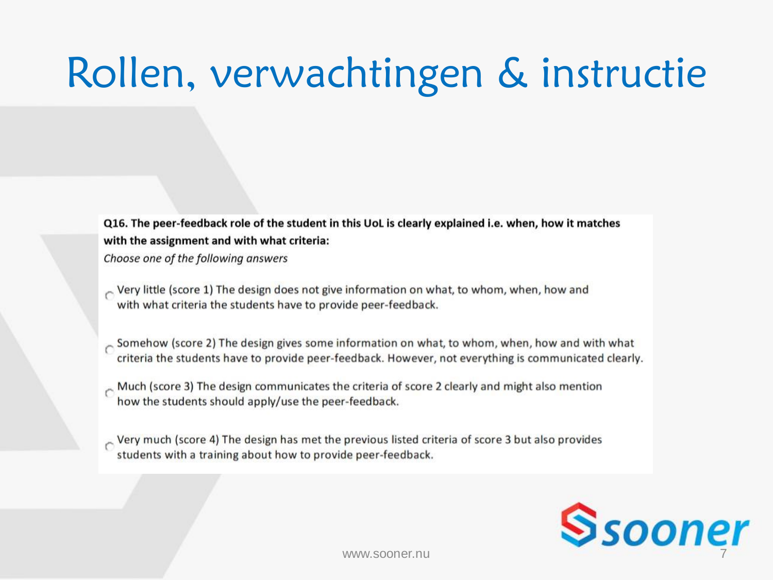# Rollen, verwachtingen & instructie

Q16. The peer-feedback role of the student in this UoL is clearly explained i.e. when, how it matches with the assignment and with what criteria:

Choose one of the following answers

- $\sim$  Very little (score 1) The design does not give information on what, to whom, when, how and with what criteria the students have to provide peer-feedback.
- Somehow (score 2) The design gives some information on what, to whom, when, how and with what criteria the students have to provide peer-feedback. However, not everything is communicated clearly.
- Much (score 3) The design communicates the criteria of score 2 clearly and might also mention how the students should apply/use the peer-feedback.
- $\sim$  Very much (score 4) The design has met the previous listed criteria of score 3 but also provides students with a training about how to provide peer-feedback.

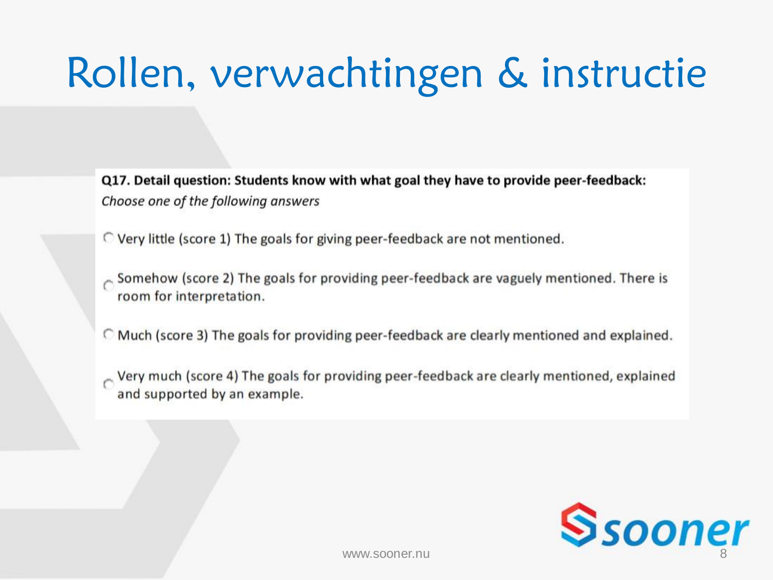# Rollen, verwachtingen & instructie

Q17. Detail question: Students know with what goal they have to provide peer-feedback: Choose one of the following answers

- C Very little (score 1) The goals for giving peer-feedback are not mentioned.
- Somehow (score 2) The goals for providing peer-feedback are vaguely mentioned. There is room for interpretation.
- C Much (score 3) The goals for providing peer-feedback are clearly mentioned and explained.
- Very much (score 4) The goals for providing peer-feedback are clearly mentioned, explained and supported by an example.

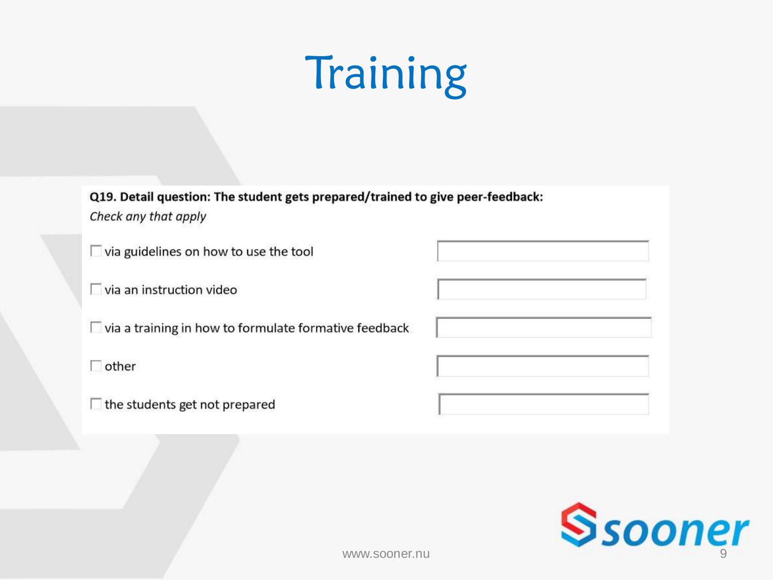# **Training**

Q19. Detail question: The student gets prepared/trained to give peer-feedback: Check any that apply

| $\Box$ via guidelines on how to use the tool                 |  |
|--------------------------------------------------------------|--|
| $\Box$ via an instruction video                              |  |
| $\Box$ via a training in how to formulate formative feedback |  |
| other                                                        |  |
| the students get not prepared                                |  |

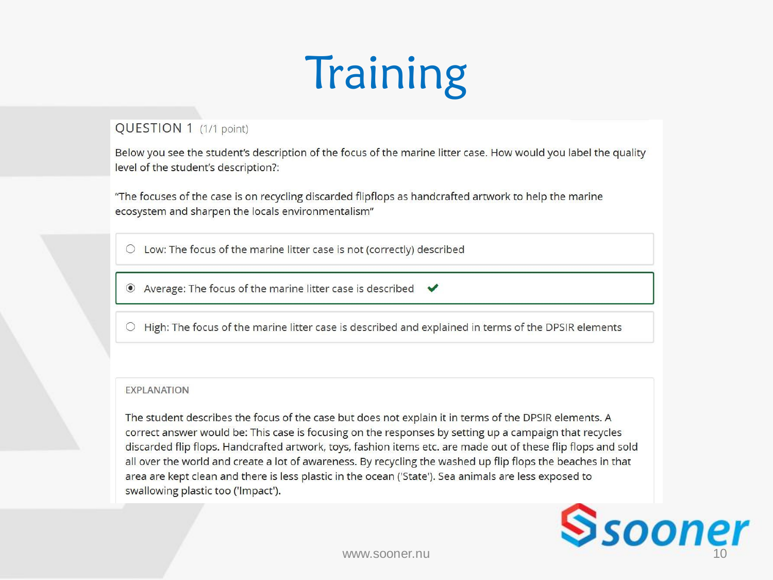# Training

### QUESTION 1 (1/1 point)

Below you see the student's description of the focus of the marine litter case. How would you label the quality level of the student's description?:

"The focuses of the case is on recycling discarded flipflops as handcrafted artwork to help the marine ecosystem and sharpen the locals environmentalism"

 $\circlearrowright$  Low: The focus of the marine litter case is not (correctly) described

◉ Average: The focus of the marine litter case is described ↓

○ High: The focus of the marine litter case is described and explained in terms of the DPSIR elements

### **EXPLANATION**

The student describes the focus of the case but does not explain it in terms of the DPSIR elements. A correct answer would be: This case is focusing on the responses by setting up a campaign that recycles discarded flip flops. Handcrafted artwork, toys, fashion items etc. are made out of these flip flops and sold all over the world and create a lot of awareness. By recycling the washed up flip flops the beaches in that area are kept clean and there is less plastic in the ocean ('State'). Sea animals are less exposed to swallowing plastic too ('Impact').